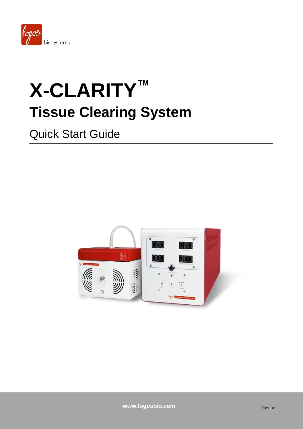

# **X-CLARITY™ Tissue Clearing System**

## Quick Start Guide

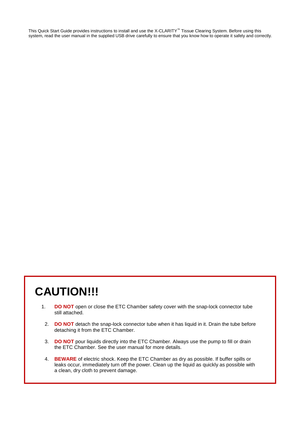This Quick Start Guide provides instructions to install and use the X-CLARITY™ Tissue Clearing System. Before using this system, read the user manual in the supplied USB drive carefully to ensure that you know how to operate it safely and correctly.

## **CAUTION!!!**

- 1. **DO NOT** open or close the ETC Chamber safety cover with the snap-lock connector tube still attached.
	- 2. **DO NOT** detach the snap-lock connector tube when it has liquid in it. Drain the tube before detaching it from the ETC Chamber.
	- 3. **DO NOT** pour liquids directly into the ETC Chamber. Always use the pump to fill or drain the ETC Chamber. See the user manual for more details.
	- 4. **BEWARE** of electric shock. Keep the ETC Chamber as dry as possible. If buffer spills or leaks occur, immediately turn off the power. Clean up the liquid as quickly as possible with a clean, dry cloth to prevent damage.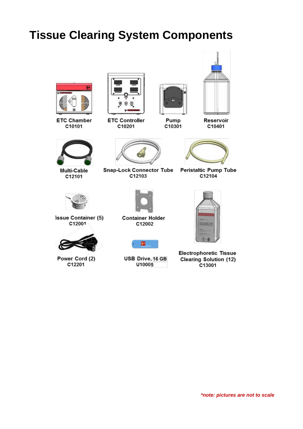## **Tissue Clearing System Components**



**ETC Chamber** C10101



Multi-Cable C12101



**ETC Controller** C10201



Pump C10301



Reservoir

**Peristaltic Pump Tube** C12104



issue Container (5) C12001



Power Cord (2) C12201



**Snap-Lock Connector Tube** 

C12103

**Container Holder** C12002

殰

USB Drive, 16 GB

U10005



**Electrophoretic Tissue Clearing Solution (12)** C13001

*\*note: pictures are not to scale*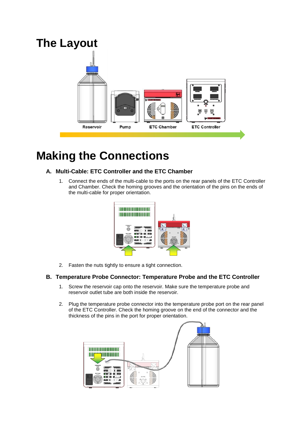

### **Making the Connections**

#### **A. Multi-Cable: ETC Controller and the ETC Chamber**

1. Connect the ends of the multi-cable to the ports on the rear panels of the ETC Controller and Chamber. Check the homing grooves and the orientation of the pins on the ends of the multi-cable for proper orientation.



2. Fasten the nuts tightly to ensure a tight connection.

#### **B. Temperature Probe Connector: Temperature Probe and the ETC Controller**

- 1. Screw the reservoir cap onto the reservoir. Make sure the temperature probe and reservoir outlet tube are both inside the reservoir.
- 2. Plug the temperature probe connector into the temperature probe port on the rear panel of the ETC Controller. Check the homing groove on the end of the connector and the thickness of the pins in the port for proper orientation.

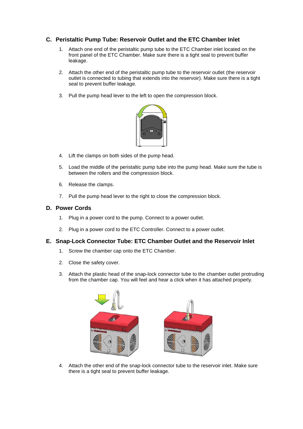#### **C. Peristaltic Pump Tube: Reservoir Outlet and the ETC Chamber Inlet**

- 1. Attach one end of the peristaltic pump tube to the ETC Chamber inlet located on the front panel of the ETC Chamber. Make sure there is a tight seal to prevent buffer leakage.
- 2. Attach the other end of the peristaltic pump tube to the reservoir outlet (the reservoir outlet is connected to tubing that extends into the reservoir). Make sure there is a tight seal to prevent buffer leakage.
- 3. Pull the pump head lever to the left to open the compression block.



- 4. Lift the clamps on both sides of the pump head.
- 5. Load the middle of the peristaltic pump tube into the pump head. Make sure the tube is between the rollers and the compression block.
- 6. Release the clamps.
- 7. Pull the pump head lever to the right to close the compression block.

#### **D. Power Cords**

- 1. Plug in a power cord to the pump. Connect to a power outlet.
- 2. Plug in a power cord to the ETC Controller. Connect to a power outlet.

#### **E. Snap-Lock Connector Tube: ETC Chamber Outlet and the Reservoir Inlet**

- 1. Screw the chamber cap onto the ETC Chamber.
- 2. Close the safety cover.
- 3. Attach the plastic head of the snap-lock connector tube to the chamber outlet protruding from the chamber cap. You will feel and hear a click when it has attached properly.



4. Attach the other end of the snap-lock connector tube to the reservoir inlet. Make sure there is a tight seal to prevent buffer leakage.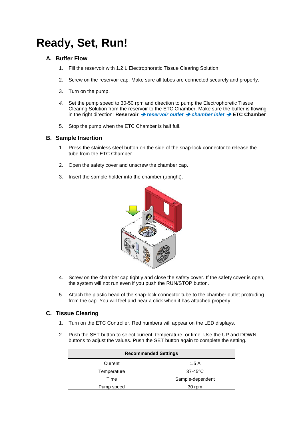# **Ready, Set, Run!**

#### **A. Buffer Flow**

- 1. Fill the reservoir with 1.2 L Electrophoretic Tissue Clearing Solution.
- 2. Screw on the reservoir cap. Make sure all tubes are connected securely and properly.
- 3. Turn on the pump.
- *4.* Set the pump speed to 30-50 rpm and direction to pump the Electrophoretic Tissue Clearing Solution from the reservoir to the ETC Chamber. Make sure the buffer is flowing in the right direction: **Reservoir** *reservoir outlet chamber inlet*  **ETC Chamber**
- 5. Stop the pump when the ETC Chamber is half full.

#### **B. Sample Insertion**

- 1. Press the stainless steel button on the side of the snap-lock connector to release the tube from the ETC Chamber.
- 2. Open the safety cover and unscrew the chamber cap.
- 3. Insert the sample holder into the chamber (upright).



- 4. Screw on the chamber cap tightly and close the safety cover. If the safety cover is open, the system will not run even if you push the RUN/STOP button.
- 5. Attach the plastic head of the snap-lock connector tube to the chamber outlet protruding from the cap. You will feel and hear a click when it has attached properly.

#### **C. Tissue Clearing**

- 1. Turn on the ETC Controller. Red numbers will appear on the LED displays.
- 2. Push the SET button to select current, temperature, or time. Use the UP and DOWN buttons to adjust the values. Push the SET button again to complete the setting.

| <b>Recommended Settings</b> |                  |
|-----------------------------|------------------|
| Current                     | 1.5A             |
| Temperature                 | $37-45$ °C       |
| Time                        | Sample-dependent |
| Pump speed                  | 30 rpm           |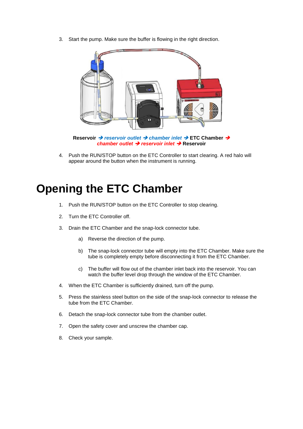3. Start the pump. Make sure the buffer is flowing in the right direction.



**Reservoir → reservoir outlet → chamber inlet → ETC Chamber →** *chamber outlet → reservoir inlet → Reservoir* 

4. Push the RUN/STOP button on the ETC Controller to start clearing. A red halo will appear around the button when the instrument is running.

### **Opening the ETC Chamber**

- 1. Push the RUN/STOP button on the ETC Controller to stop clearing.
- 2. Turn the ETC Controller off.
- 3. Drain the ETC Chamber and the snap-lock connector tube.
	- a) Reverse the direction of the pump.
	- b) The snap-lock connector tube will empty into the ETC Chamber. Make sure the tube is completely empty before disconnecting it from the ETC Chamber.
	- c) The buffer will flow out of the chamber inlet back into the reservoir. You can watch the buffer level drop through the window of the ETC Chamber.
- 4. When the ETC Chamber is sufficiently drained, turn off the pump.
- 5. Press the stainless steel button on the side of the snap-lock connector to release the tube from the ETC Chamber.
- 6. Detach the snap-lock connector tube from the chamber outlet.
- 7. Open the safety cover and unscrew the chamber cap.
- 8. Check your sample.